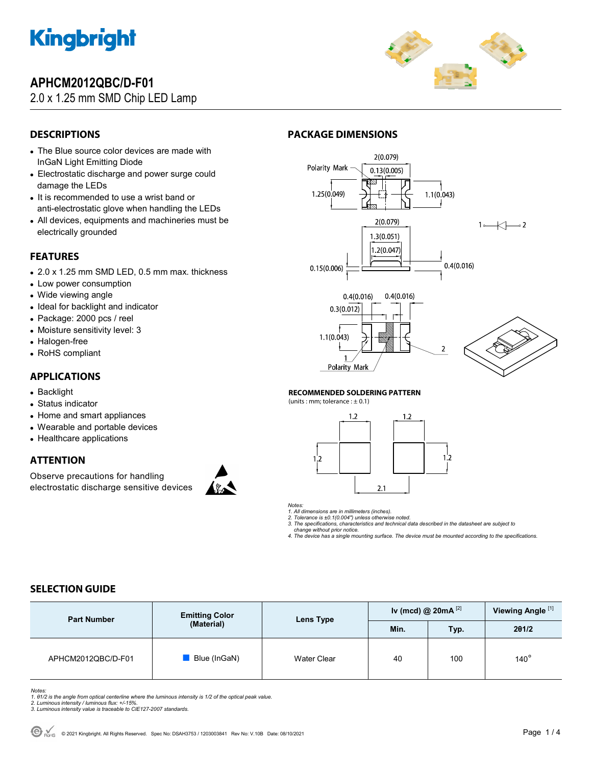

# **APHCM2012QBC/D-F01**

### 2.0 x 1.25 mm SMD Chip LED Lamp



### **DESCRIPTIONS**

- The Blue source color devices are made with InGaN Light Emitting Diode
- Electrostatic discharge and power surge could damage the LEDs
- It is recommended to use a wrist band or anti-electrostatic glove when handling the LEDs
- All devices, equipments and machineries must be electrically grounded

### **FEATURES**

- 2.0 x 1.25 mm SMD LED, 0.5 mm max. thickness
- Low power consumption
- Wide viewing angle
- Ideal for backlight and indicator
- Package: 2000 pcs / reel
- Moisture sensitivity level: 3
- Halogen-free
- RoHS compliant

#### **APPLICATIONS**

- Backlight
- Status indicator
- Home and smart appliances
- Wearable and portable devices
- Healthcare applications

### **ATTENTION**

Observe precautions for handling electrostatic discharge sensitive devices









#### **RECOMMENDED SOLDERING PATTERN**

**PACKAGE DIMENSIONS** 

(units : mm; tolerance :  $\pm$  0.1)



#### *Notes:*

*1. All dimensions are in millimeters (inches). 2. Tolerance is ±0.1(0.004") unless otherwise noted.* 

*3. The specifications, characteristics and technical data described in the datasheet are subject to* 

 *change without prior notice.* 

*4. The device has a single mounting surface. The device must be mounted according to the specifications.* 

## **SELECTION GUIDE**

| <b>Part Number</b> | <b>Emitting Color</b><br>(Material) | Lens Type   | Iv (mcd) @ $20mA$ <sup>[2]</sup> |      | Viewing Angle <sup>[1]</sup> |
|--------------------|-------------------------------------|-------------|----------------------------------|------|------------------------------|
|                    |                                     |             | Min.                             | Typ. | 201/2                        |
| APHCM2012QBC/D-F01 | Blue (InGaN)                        | Water Clear | 40                               | 100  | $140^\circ$                  |

Notes:<br>1. 81/2 is the angle from optical centerline where the luminous intensity is 1/2 of the optical peak value.<br>2. Luminous intensity / luminous flux: +/-15%.<br>3. Luminous intensity value is traceable to CIE127-2007 stan

- 
-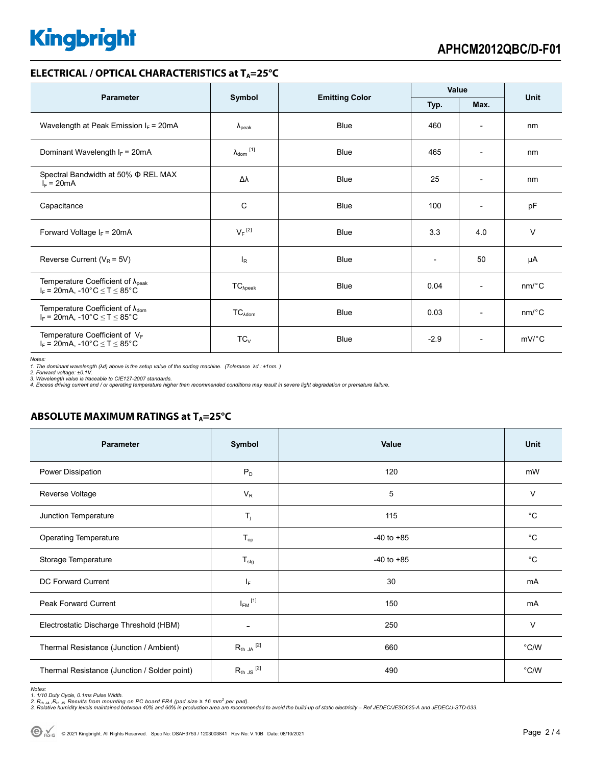# **Kingbright**

#### **ELECTRICAL / OPTICAL CHARACTERISTICS at T<sub>A</sub>=25°C**

| <b>Parameter</b>                                                                                               | Symbol                     |                       | Value                    |                          | <b>Unit</b>           |
|----------------------------------------------------------------------------------------------------------------|----------------------------|-----------------------|--------------------------|--------------------------|-----------------------|
|                                                                                                                |                            | <b>Emitting Color</b> | Typ.                     | Max.                     |                       |
| Wavelength at Peak Emission $I_F$ = 20mA                                                                       | $\lambda_{\rm peak}$       | <b>Blue</b>           | 460                      | $\overline{\phantom{0}}$ | nm                    |
| Dominant Wavelength $I_F$ = 20mA                                                                               | $\lambda_{\text{dom}}$ [1] | <b>Blue</b>           | 465                      | $\overline{\phantom{a}}$ | nm                    |
| Spectral Bandwidth at 50% $\Phi$ REL MAX<br>$I_F = 20mA$                                                       | Δλ                         | <b>Blue</b>           | 25                       | $\overline{\phantom{a}}$ | nm                    |
| Capacitance                                                                                                    | C                          | <b>Blue</b>           | 100                      | $\overline{\phantom{0}}$ | pF                    |
| Forward Voltage $I_F$ = 20mA                                                                                   | $V_F$ <sup>[2]</sup>       | <b>Blue</b>           | 3.3                      | 4.0                      | $\vee$                |
| Reverse Current ( $V_R$ = 5V)                                                                                  | <sup>I</sup> R             | <b>Blue</b>           | $\overline{\phantom{0}}$ | 50                       | μA                    |
| Temperature Coefficient of $\lambda_{peak}$<br>$I_F = 20$ mA, -10°C $\le T \le 85$ °C                          | $TC_{\lambda peak}$        | <b>Blue</b>           | 0.04                     | $\overline{\phantom{a}}$ | $nm$ <sup>o</sup> $C$ |
| Temperature Coefficient of $\lambda_{\text{dom}}$<br>$I_F$ = 20mA, -10°C $\leq T \leq 85$ °C                   | $TC_{\lambda dom}$         | <b>Blue</b>           | 0.03                     | $\overline{\phantom{a}}$ | $nm$ <sup>o</sup> $C$ |
| Temperature Coefficient of $V_F$<br>$I_F = 20 \text{mA}, -10^{\circ} \text{C} \leq T \leq 85^{\circ} \text{C}$ | $TC_V$                     | <b>Blue</b>           | $-2.9$                   | $\overline{\phantom{a}}$ | $mV$ <sup>o</sup> $C$ |

*Notes:* 

*1. The dominant wavelength (*λ*d) above is the setup value of the sorting machine. (Tolerance* λ*d : ±1nm. ) 2. Forward voltage: ±0.1V.* 

3. Wavelength value is traceable to CIE127-2007 standards.<br>4. Excess driving current and / or operating temperature higher than recommended conditions may result in severe light degradation or premature failure.

#### **ABSOLUTE MAXIMUM RATINGS at T<sub>A</sub>=25°C**

| <b>Parameter</b>                             | Symbol                  | Value          | Unit           |
|----------------------------------------------|-------------------------|----------------|----------------|
| Power Dissipation                            | $P_D$                   | 120            | mW             |
| Reverse Voltage                              | $V_R$                   | 5              | $\vee$         |
| Junction Temperature                         | $T_j$                   | 115            | $^{\circ}C$    |
| <b>Operating Temperature</b>                 | $T_{op}$                | $-40$ to $+85$ | $^{\circ}C$    |
| Storage Temperature                          | $T_{\text{stg}}$        | $-40$ to $+85$ | $^{\circ}C$    |
| DC Forward Current                           | ΙF                      | 30             | mA             |
| <b>Peak Forward Current</b>                  | $I_{FM}$ <sup>[1]</sup> | 150            | mA             |
| Electrostatic Discharge Threshold (HBM)      |                         | 250            | $\vee$         |
| Thermal Resistance (Junction / Ambient)      | $R_{th}$ JA $^{[2]}$    | 660            | $^{\circ}$ C/W |
| Thermal Resistance (Junction / Solder point) | $R_{th}$ JS $^{[2]}$    | 490            | $^{\circ}$ C/W |

*Notes:* 

1. 1/10 Duty Cycle, 0.1ms Pulse Width.<br>2. R<sub>th Ja</sub> ,R<sub>h JS</sub> Results from mounting on PC board FR4 (pad size ≥ 16 mm<sup>2</sup> per pad).<br>3. Relative humidity levels maintained between 40% and 60% in production area are recommende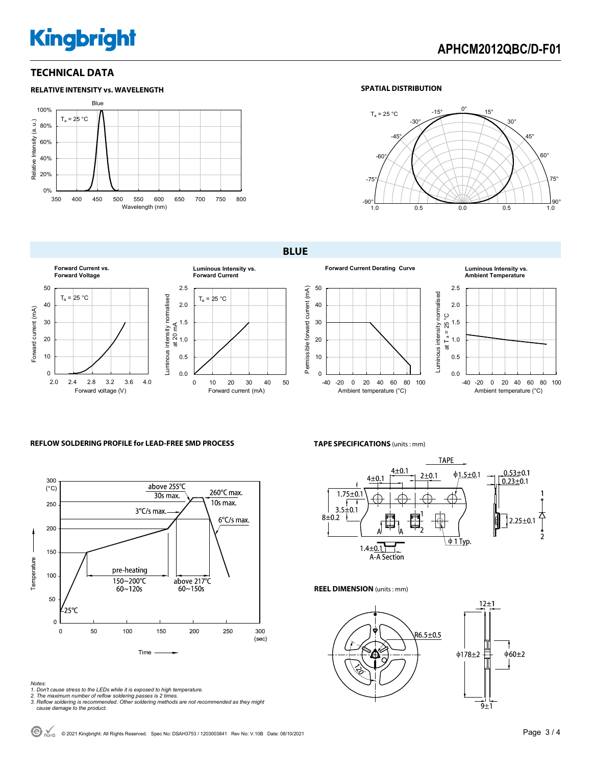# **Kingbright**

#### **TECHNICAL DATA**



#### **SPATIAL DISTRIBUTION**



**BLUE** 











#### **REFLOW SOLDERING PROFILE for LEAD-FREE SMD PROCESS**



**TAPE SPECIFICATIONS** (units : mm)



**TAPE** 

Luminous intensity normalised

**REEL DIMENSION** (units : mm)



*Notes:* 

- *1. Don't cause stress to the LEDs while it is exposed to high temperature.*
- *2. The maximum number of reflow soldering passes is 2 times. 3. Reflow soldering is recommended. Other soldering methods are not recommended as they might*
- *cause damage to the product.*

© 2021 Kingbright. All Rights Reserved. Spec No: DSAH3753 / 1203003841 Rev No: V.10B Date: 08/10/2021Page 3 / 4